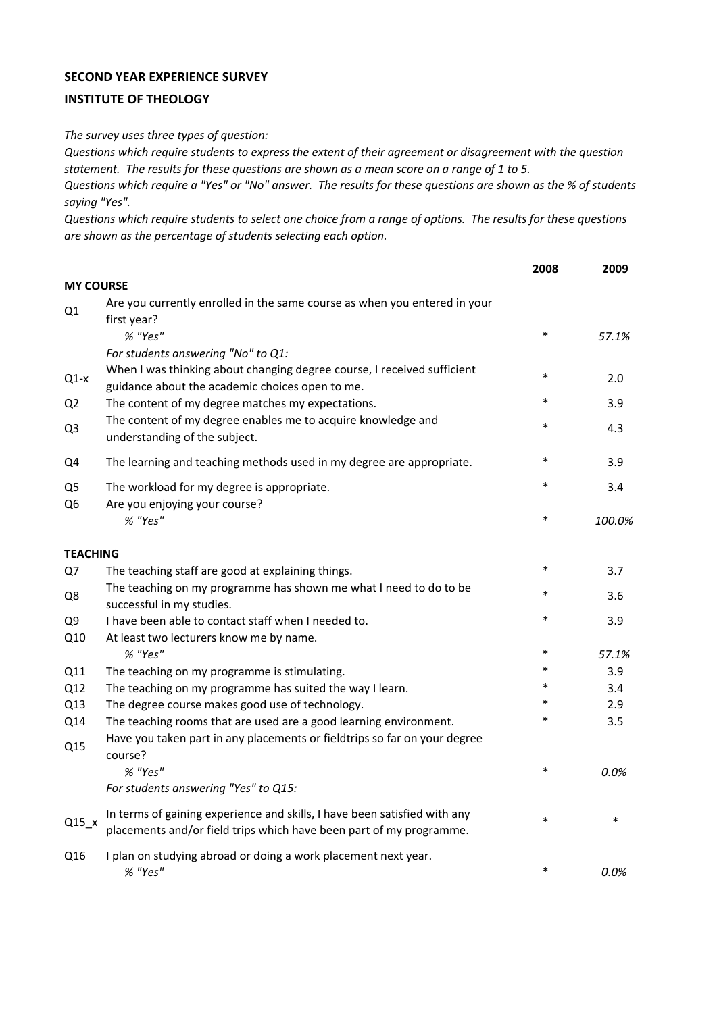## **SECOND YEAR EXPERIENCE SURVEY**

## **INSTITUTE OF THEOLOGY**

*The survey uses three types of question:*

*Questions which require students to express the extent of their agreement or disagreement with the question statement. The results for these questions are shown as a mean score on a range of 1 to 5.*

*Questions which require a "Yes" or "No" answer. The results for these questions are shown as the % of students saying "Yes".*

*Questions which require students to select one choice from a range of options. The results for these questions are shown as the percentage of students selecting each option.*

|                  |                                                                                                                            | 2008   | 2009   |
|------------------|----------------------------------------------------------------------------------------------------------------------------|--------|--------|
| <b>MY COURSE</b> |                                                                                                                            |        |        |
| Q1               | Are you currently enrolled in the same course as when you entered in your<br>first year?                                   |        |        |
|                  | % "Yes"                                                                                                                    | $\ast$ | 57.1%  |
|                  | For students answering "No" to Q1:                                                                                         |        |        |
| $Q1-x$           | When I was thinking about changing degree course, I received sufficient<br>guidance about the academic choices open to me. | *      | 2.0    |
| Q <sub>2</sub>   | The content of my degree matches my expectations.                                                                          | *      | 3.9    |
| Q <sub>3</sub>   | The content of my degree enables me to acquire knowledge and<br>understanding of the subject.                              | *      | 4.3    |
| Q4               | The learning and teaching methods used in my degree are appropriate.                                                       | *      | 3.9    |
|                  |                                                                                                                            |        |        |
| Q5               | The workload for my degree is appropriate.                                                                                 | *      | 3.4    |
| Q <sub>6</sub>   | Are you enjoying your course?                                                                                              | *      |        |
|                  | % "Yes"                                                                                                                    |        | 100.0% |
| <b>TEACHING</b>  |                                                                                                                            |        |        |
| Q7               | The teaching staff are good at explaining things.                                                                          | *      | 3.7    |
| Q8               | The teaching on my programme has shown me what I need to do to be                                                          | *      | 3.6    |
|                  | successful in my studies.                                                                                                  |        |        |
| Q9               | I have been able to contact staff when I needed to.                                                                        | *      | 3.9    |
| Q10              | At least two lecturers know me by name.                                                                                    |        |        |
|                  | % "Yes"                                                                                                                    | *      | 57.1%  |
| Q11              | The teaching on my programme is stimulating.                                                                               | *<br>* | 3.9    |
| Q12              | The teaching on my programme has suited the way I learn.                                                                   | *      | 3.4    |
| Q13              | The degree course makes good use of technology.                                                                            | $\ast$ | 2.9    |
| Q14              | The teaching rooms that are used are a good learning environment.                                                          |        | 3.5    |
| Q15              | Have you taken part in any placements or fieldtrips so far on your degree<br>course?                                       |        |        |
|                  | % "Yes"                                                                                                                    | *      | 0.0%   |
|                  | For students answering "Yes" to Q15:                                                                                       |        |        |
|                  | In terms of gaining experience and skills, I have been satisfied with any                                                  | *      | *      |
| $Q15_x$          | placements and/or field trips which have been part of my programme.                                                        |        |        |
| Q16              | I plan on studying abroad or doing a work placement next year.                                                             |        |        |
|                  | % "Yes"                                                                                                                    | $\ast$ | 0.0%   |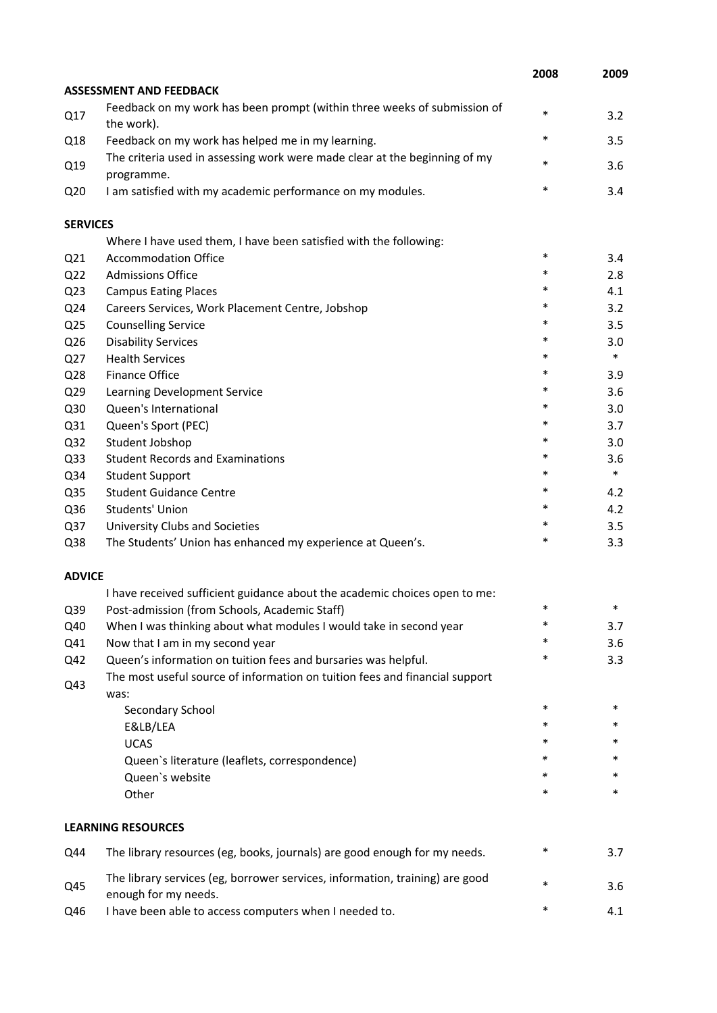|                 |                                                                                          | 2008   | 2009   |
|-----------------|------------------------------------------------------------------------------------------|--------|--------|
|                 | <b>ASSESSMENT AND FEEDBACK</b>                                                           |        |        |
| Q17             | Feedback on my work has been prompt (within three weeks of submission of<br>the work).   | $\ast$ | 3.2    |
| Q18             | Feedback on my work has helped me in my learning.                                        | $\ast$ | 3.5    |
| Q19             | The criteria used in assessing work were made clear at the beginning of my<br>programme. | $\ast$ | 3.6    |
| Q <sub>20</sub> | I am satisfied with my academic performance on my modules.                               | $\ast$ | 3.4    |
| <b>SERVICES</b> |                                                                                          |        |        |
|                 | Where I have used them, I have been satisfied with the following:                        |        |        |
| Q21             | <b>Accommodation Office</b>                                                              | $\ast$ | 3.4    |
| Q <sub>22</sub> | <b>Admissions Office</b>                                                                 | $\ast$ | 2.8    |
| Q <sub>23</sub> | <b>Campus Eating Places</b>                                                              | $\ast$ | 4.1    |
| Q24             | Careers Services, Work Placement Centre, Jobshop                                         | $\ast$ | 3.2    |
| Q <sub>25</sub> | <b>Counselling Service</b>                                                               | $\ast$ | 3.5    |
| Q26             | <b>Disability Services</b>                                                               | $\ast$ | 3.0    |
| Q27             | <b>Health Services</b>                                                                   | $\ast$ | $\ast$ |
| Q28             | <b>Finance Office</b>                                                                    | $\ast$ | 3.9    |
| Q29             | Learning Development Service                                                             | $\ast$ | 3.6    |
| Q30             | Queen's International                                                                    | $\ast$ | 3.0    |
| Q31             | Queen's Sport (PEC)                                                                      | $\ast$ | 3.7    |
| Q <sub>32</sub> | Student Jobshop                                                                          | $\ast$ | 3.0    |
| Q <sub>33</sub> | <b>Student Records and Examinations</b>                                                  | $\ast$ | 3.6    |
| Q34             | <b>Student Support</b>                                                                   | $\ast$ | $\ast$ |
| Q35             | <b>Student Guidance Centre</b>                                                           | $\ast$ | 4.2    |
| Q36             | Students' Union                                                                          | $\ast$ | 4.2    |
| Q <sub>37</sub> | University Clubs and Societies                                                           | $\ast$ | 3.5    |
| Q38             | The Students' Union has enhanced my experience at Queen's.                               | $\ast$ | 3.3    |
| <b>ADVICE</b>   |                                                                                          |        |        |
|                 | I have received sufficient guidance about the academic choices open to me:               |        |        |
| Q39             | Post-admission (from Schools, Academic Staff)                                            |        |        |
| Q40             | When I was thinking about what modules I would take in second year                       | *      | 3.7    |
| Q41             | Now that I am in my second year                                                          | $\ast$ | 3.6    |
| Q42             | Queen's information on tuition fees and bursaries was helpful.                           | *      | 3.3    |
| Q43             | The most useful source of information on tuition fees and financial support<br>was:      |        |        |
|                 | Secondary School                                                                         | $\ast$ | *      |
|                 | E&LB/LEA                                                                                 | $\ast$ | *      |
|                 | <b>UCAS</b>                                                                              | *      |        |
|                 | Queen's literature (leaflets, correspondence)                                            | *      |        |
|                 | Queen's website                                                                          | *      |        |
|                 | Other                                                                                    | *      |        |
|                 | <b>LEARNING RESOURCES</b>                                                                |        |        |
| Q44             | The library resources (eg, books, journals) are good enough for my needs.                | $\ast$ | 3.7    |
| Q45             | The library services (eg, borrower services, information, training) are good             | *      | 3.6    |
|                 | enough for my needs.                                                                     | $\ast$ |        |
| Q46             | I have been able to access computers when I needed to.                                   |        | 4.1    |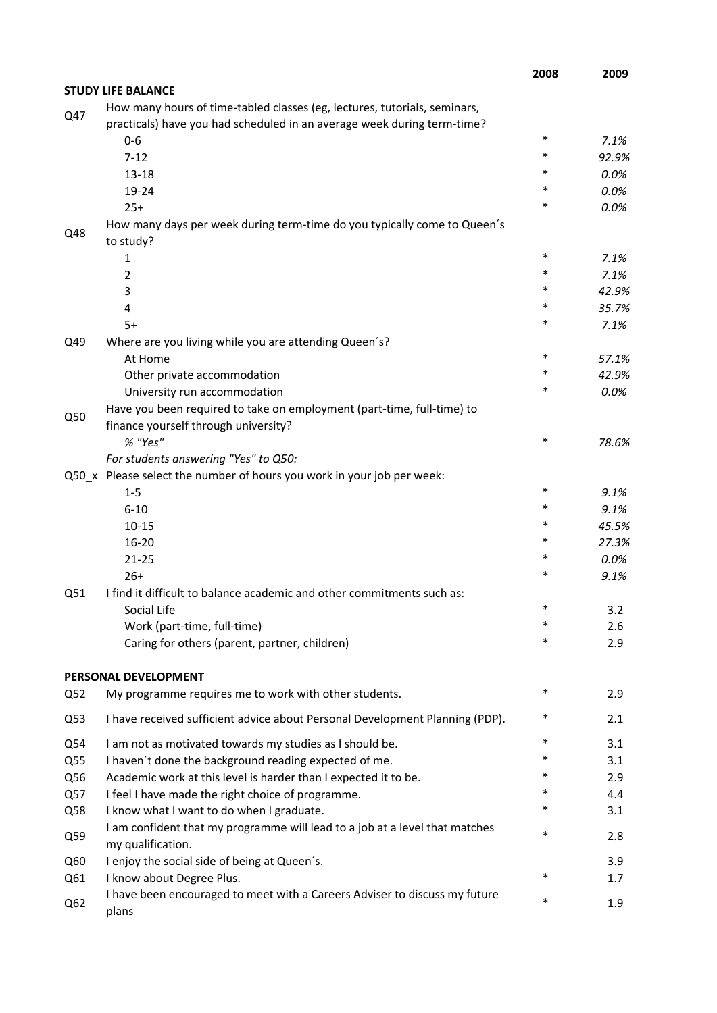|     |                                                                                       | 2008   | 2009  |
|-----|---------------------------------------------------------------------------------------|--------|-------|
|     | <b>STUDY LIFE BALANCE</b>                                                             |        |       |
| Q47 | How many hours of time-tabled classes (eg, lectures, tutorials, seminars,             |        |       |
|     | practicals) have you had scheduled in an average week during term-time?               |        |       |
|     | $0-6$                                                                                 | $\ast$ | 7.1%  |
|     | $7 - 12$                                                                              | $\ast$ | 92.9% |
|     | $13 - 18$                                                                             | $\ast$ | 0.0%  |
|     | 19-24                                                                                 | $\ast$ | 0.0%  |
|     | $25+$                                                                                 | $\ast$ | 0.0%  |
| Q48 | How many days per week during term-time do you typically come to Queen's<br>to study? |        |       |
|     | $\mathbf{1}$                                                                          | $\ast$ | 7.1%  |
|     | $\overline{2}$                                                                        | $\ast$ | 7.1%  |
|     | 3                                                                                     | $\ast$ | 42.9% |
|     | 4                                                                                     | $\ast$ | 35.7% |
|     | $5+$                                                                                  | $\ast$ | 7.1%  |
| Q49 | Where are you living while you are attending Queen's?                                 |        |       |
|     | At Home                                                                               | $\ast$ | 57.1% |
|     | Other private accommodation                                                           | $\ast$ | 42.9% |
|     | University run accommodation                                                          | $\ast$ | 0.0%  |
|     | Have you been required to take on employment (part-time, full-time) to                |        |       |
| Q50 | finance yourself through university?                                                  |        |       |
|     | % "Yes"                                                                               | $\ast$ | 78.6% |
|     | For students answering "Yes" to Q50:                                                  |        |       |
|     | Q50_x Please select the number of hours you work in your job per week:                |        |       |
|     | $1 - 5$                                                                               | $\ast$ | 9.1%  |
|     | $6 - 10$                                                                              | $\ast$ | 9.1%  |
|     | $10 - 15$                                                                             | $\ast$ | 45.5% |
|     | $16 - 20$                                                                             | $\ast$ | 27.3% |
|     | $21 - 25$                                                                             | *      | 0.0%  |
|     | $26+$                                                                                 | *      | 9.1%  |
| Q51 | I find it difficult to balance academic and other commitments such as:                |        |       |
|     | Social Life                                                                           |        | 3.2   |
|     | Work (part-time, full-time)                                                           | *      | 2.6   |
|     | Caring for others (parent, partner, children)                                         | $\ast$ | 2.9   |
|     | PERSONAL DEVELOPMENT                                                                  |        |       |
| Q52 | My programme requires me to work with other students.                                 | $\ast$ | 2.9   |
| Q53 | I have received sufficient advice about Personal Development Planning (PDP).          | $\ast$ | 2.1   |
| Q54 | I am not as motivated towards my studies as I should be.                              | $\ast$ | 3.1   |
| Q55 | I haven't done the background reading expected of me.                                 | $\ast$ | 3.1   |
| Q56 | Academic work at this level is harder than I expected it to be.                       | $\ast$ | 2.9   |
| Q57 | I feel I have made the right choice of programme.                                     | *      | 4.4   |
| Q58 | I know what I want to do when I graduate.                                             | $\ast$ | 3.1   |
|     | I am confident that my programme will lead to a job at a level that matches           |        |       |
| Q59 | my qualification.                                                                     | $\ast$ | 2.8   |
| Q60 | I enjoy the social side of being at Queen's.                                          |        | 3.9   |
| Q61 | I know about Degree Plus.                                                             | $\ast$ | 1.7   |
| Q62 | I have been encouraged to meet with a Careers Adviser to discuss my future<br>plans   | $\ast$ | 1.9   |